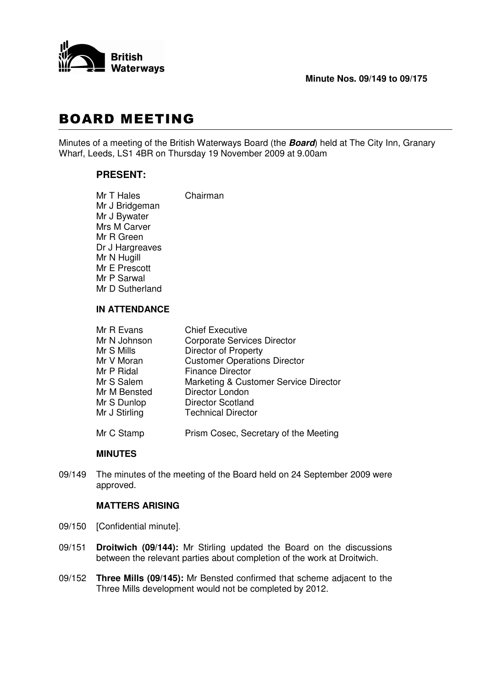

# **BOARD MEETING**

Minutes of a meeting of the British Waterways Board (the *Board*) held at The City Inn, Granary Wharf, Leeds, LS1 4BR on Thursday 19 November 2009 at 9.00am

## **PRESENT:**

| Mr T Hales      | Chairman |
|-----------------|----------|
| Mr J Bridgeman  |          |
| Mr J Bywater    |          |
| Mrs M Carver    |          |
| Mr R Green      |          |
| Dr J Hargreaves |          |
| Mr N Hugill     |          |
| Mr E Prescott   |          |
| Mr P Sarwal     |          |
| Mr D Sutherland |          |
|                 |          |

## **IN ATTENDANCE**

| Mr R Evans    | <b>Chief Executive</b>                |
|---------------|---------------------------------------|
| Mr N Johnson  | <b>Corporate Services Director</b>    |
| Mr S Mills    | <b>Director of Property</b>           |
| Mr V Moran    | <b>Customer Operations Director</b>   |
| Mr P Ridal    | <b>Finance Director</b>               |
| Mr S Salem    | Marketing & Customer Service Director |
| Mr M Bensted  | Director London                       |
| Mr S Dunlop   | Director Scotland                     |
| Mr J Stirling | <b>Technical Director</b>             |
|               |                                       |

## Mr C Stamp Prism Cosec, Secretary of the Meeting

## **MINUTES**

09/149 The minutes of the meeting of the Board held on 24 September 2009 were approved.

## **MATTERS ARISING**

- 09/150 [Confidential minute].
- 09/151 **Droitwich (09/144):** Mr Stirling updated the Board on the discussions between the relevant parties about completion of the work at Droitwich.
- 09/152 **Three Mills (09/145):** Mr Bensted confirmed that scheme adjacent to the Three Mills development would not be completed by 2012.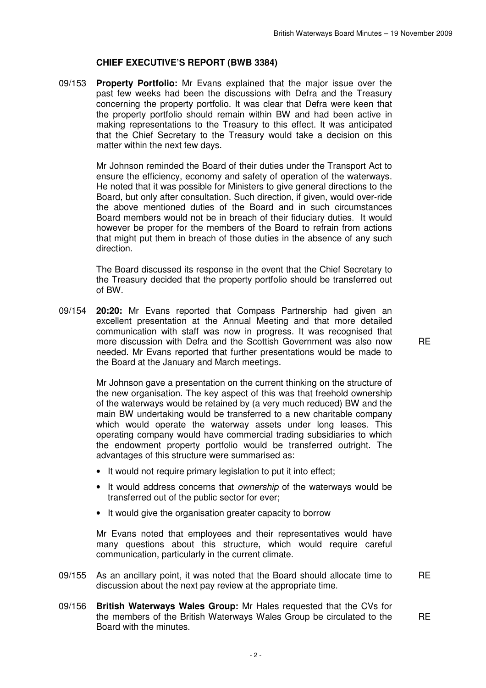#### **CHIEF EXECUTIVE'S REPORT (BWB 3384)**

09/153 **Property Portfolio:** Mr Evans explained that the major issue over the past few weeks had been the discussions with Defra and the Treasury concerning the property portfolio. It was clear that Defra were keen that the property portfolio should remain within BW and had been active in making representations to the Treasury to this effect. It was anticipated that the Chief Secretary to the Treasury would take a decision on this matter within the next few days.

> Mr Johnson reminded the Board of their duties under the Transport Act to ensure the efficiency, economy and safety of operation of the waterways. He noted that it was possible for Ministers to give general directions to the Board, but only after consultation. Such direction, if given, would over-ride the above mentioned duties of the Board and in such circumstances Board members would not be in breach of their fiduciary duties. It would however be proper for the members of the Board to refrain from actions that might put them in breach of those duties in the absence of any such direction.

> The Board discussed its response in the event that the Chief Secretary to the Treasury decided that the property portfolio should be transferred out of BW.

09/154 **20:20:** Mr Evans reported that Compass Partnership had given an excellent presentation at the Annual Meeting and that more detailed communication with staff was now in progress. It was recognised that more discussion with Defra and the Scottish Government was also now needed. Mr Evans reported that further presentations would be made to the Board at the January and March meetings.

> Mr Johnson gave a presentation on the current thinking on the structure of the new organisation. The key aspect of this was that freehold ownership of the waterways would be retained by (a very much reduced) BW and the main BW undertaking would be transferred to a new charitable company which would operate the waterway assets under long leases. This operating company would have commercial trading subsidiaries to which the endowment property portfolio would be transferred outright. The advantages of this structure were summarised as:

- It would not require primary legislation to put it into effect:
- It would address concerns that *ownership* of the waterways would be transferred out of the public sector for ever;
- It would give the organisation greater capacity to borrow

Mr Evans noted that employees and their representatives would have many questions about this structure, which would require careful communication, particularly in the current climate.

- 09/155 As an ancillary point, it was noted that the Board should allocate time to discussion about the next pay review at the appropriate time. **RE**
- 09/156 **British Waterways Wales Group:** Mr Hales requested that the CVs for the members of the British Waterways Wales Group be circulated to the Board with the minutes. RE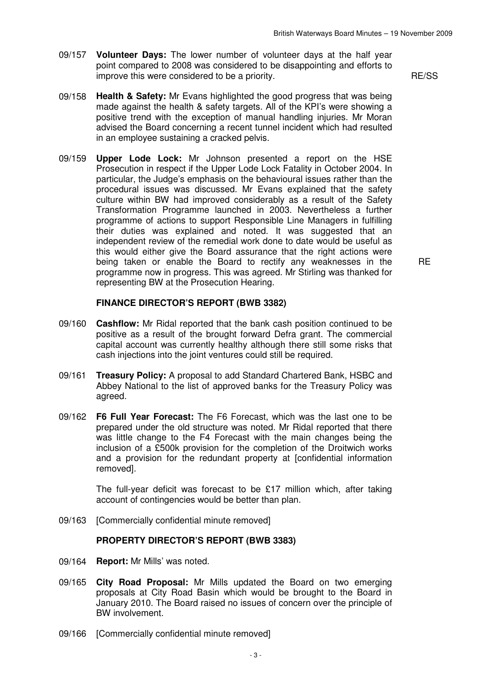- 09/157 **Volunteer Days:** The lower number of volunteer days at the half year point compared to 2008 was considered to be disappointing and efforts to improve this were considered to be a priority. The state of the RE/SS RE/SS
- 09/158 **Health & Safety:** Mr Evans highlighted the good progress that was being made against the health & safety targets. All of the KPI's were showing a positive trend with the exception of manual handling injuries. Mr Moran advised the Board concerning a recent tunnel incident which had resulted in an employee sustaining a cracked pelvis.
- 09/159 **Upper Lode Lock:** Mr Johnson presented a report on the HSE Prosecution in respect if the Upper Lode Lock Fatality in October 2004. In particular, the Judge's emphasis on the behavioural issues rather than the procedural issues was discussed. Mr Evans explained that the safety culture within BW had improved considerably as a result of the Safety Transformation Programme launched in 2003. Nevertheless a further programme of actions to support Responsible Line Managers in fulfilling their duties was explained and noted. It was suggested that an independent review of the remedial work done to date would be useful as this would either give the Board assurance that the right actions were being taken or enable the Board to rectify any weaknesses in the programme now in progress. This was agreed. Mr Stirling was thanked for representing BW at the Prosecution Hearing.

RE

#### **FINANCE DIRECTOR'S REPORT (BWB 3382)**

- 09/160 **Cashflow:** Mr Ridal reported that the bank cash position continued to be positive as a result of the brought forward Defra grant. The commercial capital account was currently healthy although there still some risks that cash injections into the joint ventures could still be required.
- 09/161 **Treasury Policy:** A proposal to add Standard Chartered Bank, HSBC and Abbey National to the list of approved banks for the Treasury Policy was agreed.
- 09/162 **F6 Full Year Forecast:** The F6 Forecast, which was the last one to be prepared under the old structure was noted. Mr Ridal reported that there was little change to the F4 Forecast with the main changes being the inclusion of a £500k provision for the completion of the Droitwich works and a provision for the redundant property at [confidential information removed].

The full-year deficit was forecast to be £17 million which, after taking account of contingencies would be better than plan.

09/163 [Commercially confidential minute removed]

#### **PROPERTY DIRECTOR'S REPORT (BWB 3383)**

- 09/164 **Report:** Mr Mills' was noted.
- 09/165 **City Road Proposal:** Mr Mills updated the Board on two emerging proposals at City Road Basin which would be brought to the Board in January 2010. The Board raised no issues of concern over the principle of BW involvement.
- 09/166 [Commercially confidential minute removed]